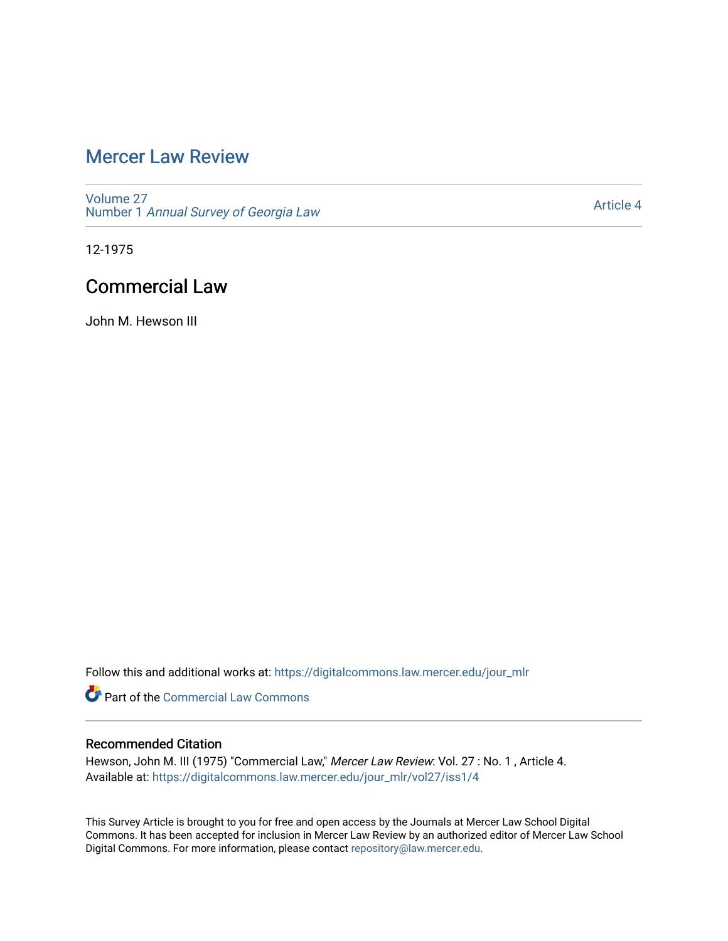# [Mercer Law Review](https://digitalcommons.law.mercer.edu/jour_mlr)

[Volume 27](https://digitalcommons.law.mercer.edu/jour_mlr/vol27) Number 1 [Annual Survey of Georgia Law](https://digitalcommons.law.mercer.edu/jour_mlr/vol27/iss1) 

[Article 4](https://digitalcommons.law.mercer.edu/jour_mlr/vol27/iss1/4) 

12-1975

# Commercial Law

John M. Hewson III

Follow this and additional works at: [https://digitalcommons.law.mercer.edu/jour\\_mlr](https://digitalcommons.law.mercer.edu/jour_mlr?utm_source=digitalcommons.law.mercer.edu%2Fjour_mlr%2Fvol27%2Fiss1%2F4&utm_medium=PDF&utm_campaign=PDFCoverPages)

**Part of the [Commercial Law Commons](http://network.bepress.com/hgg/discipline/586?utm_source=digitalcommons.law.mercer.edu%2Fjour_mlr%2Fvol27%2Fiss1%2F4&utm_medium=PDF&utm_campaign=PDFCoverPages)** 

# Recommended Citation

Hewson, John M. III (1975) "Commercial Law," Mercer Law Review: Vol. 27 : No. 1 , Article 4. Available at: [https://digitalcommons.law.mercer.edu/jour\\_mlr/vol27/iss1/4](https://digitalcommons.law.mercer.edu/jour_mlr/vol27/iss1/4?utm_source=digitalcommons.law.mercer.edu%2Fjour_mlr%2Fvol27%2Fiss1%2F4&utm_medium=PDF&utm_campaign=PDFCoverPages)

This Survey Article is brought to you for free and open access by the Journals at Mercer Law School Digital Commons. It has been accepted for inclusion in Mercer Law Review by an authorized editor of Mercer Law School Digital Commons. For more information, please contact [repository@law.mercer.edu](mailto:repository@law.mercer.edu).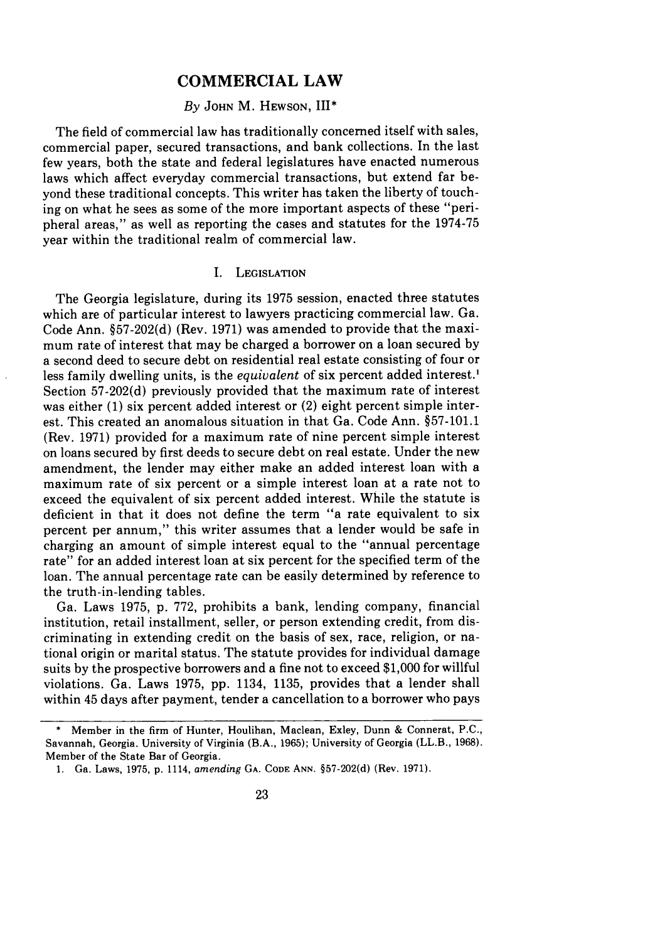## **COMMERCIAL LAW**

#### *By* **JOHN** M. **HEWSON, III\***

The field of commercial law has traditionally concerned itself with sales, commercial paper, secured transactions, and bank collections. In the last few years, both the state and federal legislatures have enacted numerous laws which affect everyday commercial transactions, but extend far beyond these traditional concepts. This writer has taken the liberty of touching on what he sees as some of the more important aspects of these "peripheral areas," as well as reporting the cases and statutes for the **1974-75** year within the traditional realm of commercial law.

#### I. LEGISLATION

The Georgia legislature, during its **1975** session, enacted three statutes which are of particular interest to lawyers practicing commercial law. Ga. Code Ann. §57-202(d) (Rev. 1971) was amended to provide that the maximum rate of interest that may be charged a borrower on a loan secured by a second deed to secure debt on residential real estate consisting of four or less family dwelling units, is the *equivalent* of six percent added interest.<sup>1</sup> Section 57-202(d) previously provided that the maximum rate of interest was either (1) six percent added interest or (2) eight percent simple interest. This created an anomalous situation in that Ga. Code Ann. §57-101.1 (Rev. 1971) provided for a maximum rate of nine percent simple interest on loans secured by first deeds to secure debt on real estate. Under the new amendment, the lender may either make an added interest loan with a maximum rate of six percent or a simple interest loan at a rate not to exceed the equivalent of six percent added interest. While the statute is deficient in that it does not define the term "a rate equivalent to six percent per annum," this writer assumes that a lender would be safe in charging an amount of simple interest equal to the "annual percentage rate" for an added interest loan at six percent for the specified term of the loan. The annual percentage rate can be easily determined by reference to the truth-in-lending tables.

Ga. Laws 1975, p. **772,** prohibits a bank, lending company, financial institution, retail installment, seller, or person extending credit, from discriminating in extending credit on the basis of sex, race, religion, or national origin or marital status. The statute provides for individual damage suits by the prospective borrowers and a fine not to exceed \$1,000 for willful violations. Ga. Laws **1975,** pp. 1134, 1135, provides that a lender shall within 45 days after payment, tender a cancellation to a borrower who pays

<sup>\*</sup> Member in the firm of Hunter, Houlihan, Maclean, Exley, Dunn **&** Connerat, P.C., Savannah, Georgia. University of Virginia (B.A., **1965);** University of Georgia (LL.B., 1968). Member of the State Bar of Georgia.

<sup>1.</sup> Ga. Laws, **1975, p.** 1114, *amending* GA. **CODE** ANN. §57-202(d) (Rev. 1971).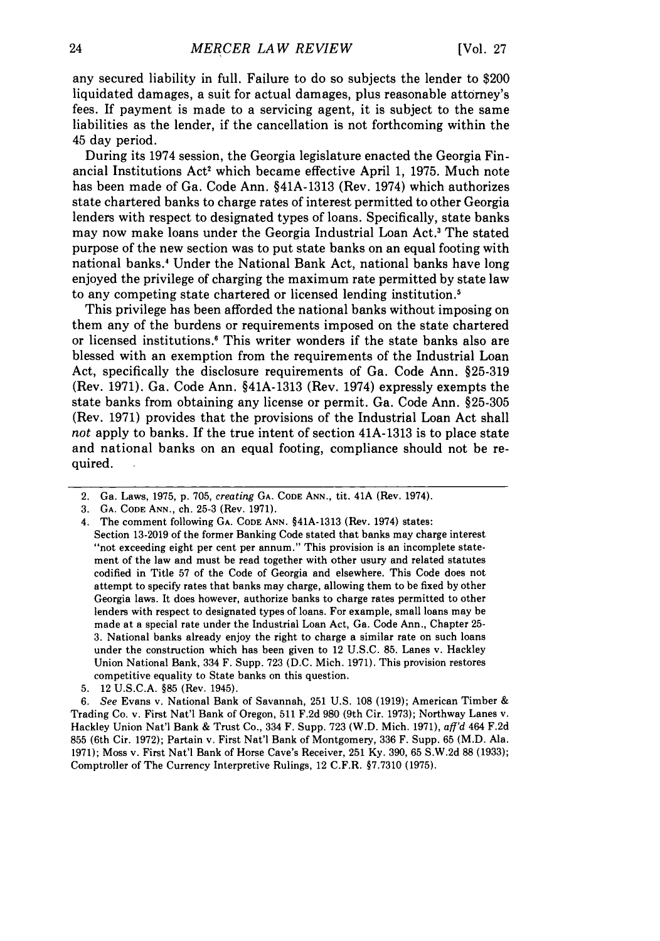any secured liability in full. Failure to do so subjects the lender to \$200 liquidated damages, a suit for actual damages, plus reasonable attorney's fees. If payment is made to a servicing agent, it is subject to the same liabilities as the lender, if the cancellation is not forthcoming within the 45 day period.

During its 1974 session, the Georgia legislature enacted the Georgia Financial Institutions Act' which became effective April **1, 1975.** Much note has been made of Ga. Code Ann. §41A-1313 (Rev. 1974) which authorizes state chartered banks to charge rates of interest permitted to other Georgia lenders with respect to designated types of loans. Specifically, state banks may now make loans under the Georgia Industrial Loan Act.' The stated purpose of the new section was to put state banks on an equal footing with national banks.4 Under the National Bank Act, national banks have long enjoyed the privilege of charging the maximum rate permitted **by** state law to any competing state chartered or licensed lending institution.'

This privilege has been afforded the national banks without imposing on them any of the burdens or requirements imposed on the state chartered or licensed institutions.6 This writer wonders if the state banks also are blessed with an exemption from the requirements of the Industrial Loan Act, specifically the disclosure requirements of Ga. Code Ann. **§25-319** (Rev. **1971).** Ga. Code Ann. §41A-1313 (Rev. 1974) expressly exempts the state banks from obtaining any license or permit. Ga. Code Ann. **§25-305** (Rev. **1971)** provides that the provisions of the Industrial Loan Act shall *not* apply to banks. If the true intent of section 41A-1313 is to place state and national banks on an equal footing, compliance should not be required.

**5.** 12 **U.S.C.A. §85** (Rev. 1945).

*6. See* Evans v. National Bank of Savannah, **251 U.S. 108 (1919);** American Timber **&** Trading Co. v. First Nat'l Bank of Oregon, **511 F.2d 980** (9th Cir. **1973);** Northway Lanes v. Hackley Union Nat'l Bank **&** Trust Co., 334 F. Supp. **723** (W.D. Mich. **1971),** *aff'd* 464 **F.2d 855** (6th Cir. **1972);** Partain v. First Nat'l Bank of Montgomery, **336** F. Supp. **65** (M.D. Ala. **1971);** Moss v. First Nat'l Bank of Horse Cave's Receiver, **251 Ky. 390, 65 S.W.2d 88 (1933);** Comptroller of The Currency Interpretive Rulings, 12 C.F.R. **§7.7310 (1975).**

<sup>2.</sup> Ga. Laws, **1975, p. 705,** *creating* **GA. CODE ANN.,** tit. 41A (Rev. 1974).

**<sup>3.</sup> GA. CODE ANN.,** ch. **25-3** (Rev. **1971).**

<sup>4.</sup> The comment following **GA. CODE ANN.** §41A-1313 (Rev. 1974) states:

Section **13-2019** of the former Banking Code stated that banks may charge interest "not exceeding eight per cent per annum." This provision is an incomplete statement of the law and must be read together with other usury and related statutes codified in Title **57** of the Code of Georgia and elsewhere. This Code does not attempt to specify rates that banks may charge, allowing them to be fixed **by** other Georgia laws. It does however, authorize banks to charge rates permitted to other lenders with respect to designated types of loans. For example, small loans may be made at a special rate under the Industrial Loan Act, Ga. Code Ann., Chapter **25- 3.** National banks already enjoy the right to charge a similar rate on such loans under the construction which has been given to 12 **U.S.C. 85.** Lanes v. Hackley Union National Bank, 334 F. Supp. **723 (D.C.** Mich. **1971).** This provision restores competitive equality to State banks on this question.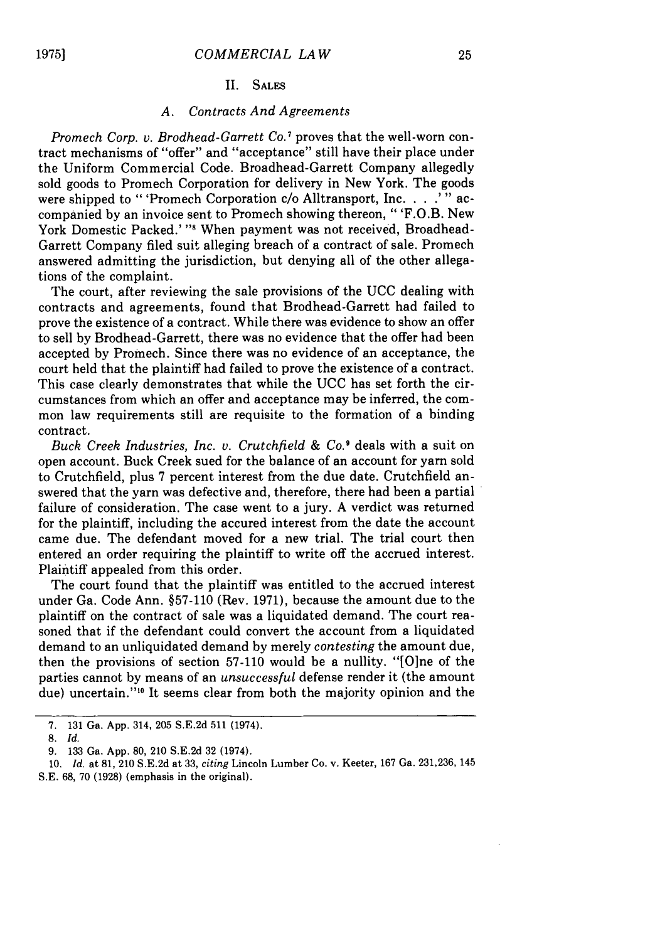#### II. SALES

#### *A. Contracts And Agreements*

*Promech Corp. v. Brodhead-Garrett Co.'* proves that the well-worn contract mechanisms of "offer" and "acceptance" still have their place under the Uniform Commercial Code. Broadhead-Garrett Company allegedly sold goods to Promech Corporation for delivery in New York. The goods were shipped to "'Promech Corporation *c/o* Alltransport, Inc. . **. .'"** accompanied by an invoice sent to Promech showing thereon, "'F.O.B. New York Domestic Packed.' "<sup>8</sup> When payment was not received, Broadhead-Garrett Company filed suit alleging breach of a contract of sale. Promech answered admitting the jurisdiction, but denying all of the other allegations of the complaint.

The court, after reviewing the sale provisions of the UCC dealing with contracts and agreements, found that Brodhead-Garrett had failed to prove the existence of a contract. While there was evidence to show an offer to sell by Brodhead-Garrett, there was no evidence that the offer had been accepted by Promech. Since there was no evidence of an acceptance, the court held that the plaintiff had failed to prove the existence of a contract. This case clearly demonstrates that while the UCC has set forth the circumstances from which an offer and acceptance may be inferred, the common law requirements still are requisite to the formation of a binding contract.

Buck *Creek Industries, Inc. v. Crutchfield & Co.'* deals with a suit on open account. Buck Creek sued for the balance of an account for yarn sold to Crutchfield, plus 7 percent interest from the due date. Crutchfield answered that the yarn was defective and, therefore, there had been a partial failure of consideration. The case went to a jury. A verdict was returned for the plaintiff, including the accured interest from the date the account came due. The defendant moved for a new trial. The trial court then entered an order requiring the plaintiff to write off the accrued interest. Plaintiff appealed from this order.

The court found that the plaintiff was entitled to the accrued interest under Ga. Code Ann. §57-110 (Rev. 1971), because the amount due to the plaintiff on the contract of sale was a liquidated demand. The court reasoned that if the defendant could convert the account from a liquidated demand to an unliquidated demand by merely *contesting* the amount due, then the provisions of section 57-110 would be a nullity. "[Olne of the parties cannot by means of an *unsuccessful* defense render it (the amount due) uncertain."<sup>10</sup> It seems clear from both the majority opinion and the

<sup>7. 131</sup> Ga. App. 314, 205 S.E.2d 511 (1974).

**<sup>8.</sup>** *Id.*

<sup>9. 133</sup> Ga. App. 80, 210 S.E.2d 32 (1974).

<sup>10.</sup> *Id.* at 81, 210 S.E.2d at 33, *citing* Lincoln Lumber Co. v. Keeter, 167 Ga. 231,236, 145 **S.E.** 68, 70 (1928) (emphasis in the original).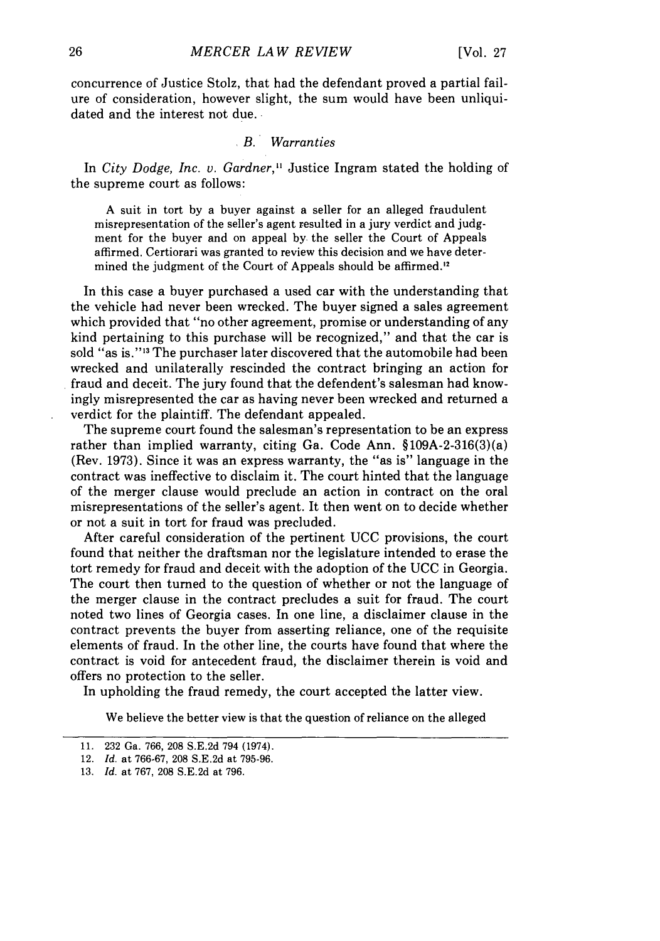concurrence of Justice Stolz, that had the defendant proved a partial failure of consideration, however slight, the sum would have been unliquidated and the interest not due.

### *B. Warranties*

In *City Dodge, Inc. v. Gardner,"* Justice Ingram stated the holding of the supreme court as follows:

A suit in tort by a buyer against a seller for an alleged fraudulent misrepresentation of the seller's agent resulted in a jury verdict and judgment for the buyer and on appeal **by.** the seller the Court of Appeals affirmed. Certiorari was granted to review this decision and we have determined the judgment of the Court of Appeals should be affirmed.'<sup>2</sup>

In this case a buyer purchased a used car with the understanding that the vehicle had never been wrecked. The buyer signed a sales agreement which provided that "no other agreement, promise or understanding of any kind pertaining to this purchase will be recognized," and that the car is sold "as is."<sup>13</sup> The purchaser later discovered that the automobile had been wrecked and unilaterally rescinded the contract bringing an action for fraud and deceit. The jury found that the defendent's salesman had knowingly misrepresented the car as having never been wrecked and returned a verdict for the plaintiff. The defendant appealed.

The supreme court found the salesman's representation to be an express rather than implied warranty, citing Ga. Code Ann. §109A-2-316(3)(a) (Rev. 1973). Since it was an express warranty, the "as is" language in the contract was ineffective to disclaim it. The court hinted that the language of the merger clause would preclude an action in contract on the oral misrepresentations of the seller's agent. It then went on to decide whether or not a suit in tort for fraud was precluded.

After careful consideration of the pertinent UCC provisions, the court found that neither the draftsman nor the legislature intended to erase the tort remedy for fraud and deceit with the adoption of the UCC in Georgia. The court then turned to the question of whether or not the language of the merger clause in the contract precludes a suit for fraud. The court noted two lines of Georgia cases. In one line, a disclaimer clause in the contract prevents the buyer from asserting reliance, one of the requisite elements of fraud. In the other line, the courts have found that where the contract is void for antecedent fraud, the disclaimer therein is void and offers no protection to the seller.

In upholding the fraud remedy, the court accepted the latter view.

We believe the better view is that the question of reliance on the alleged

<sup>11. 232</sup> Ga. 766, 208 S.E.2d 794 (1974).

<sup>12.</sup> *Id.* at 766-67, 208 S.E.2d at 795-96.

<sup>13.</sup> *Id.* at 767, 208 S.E.2d at 796.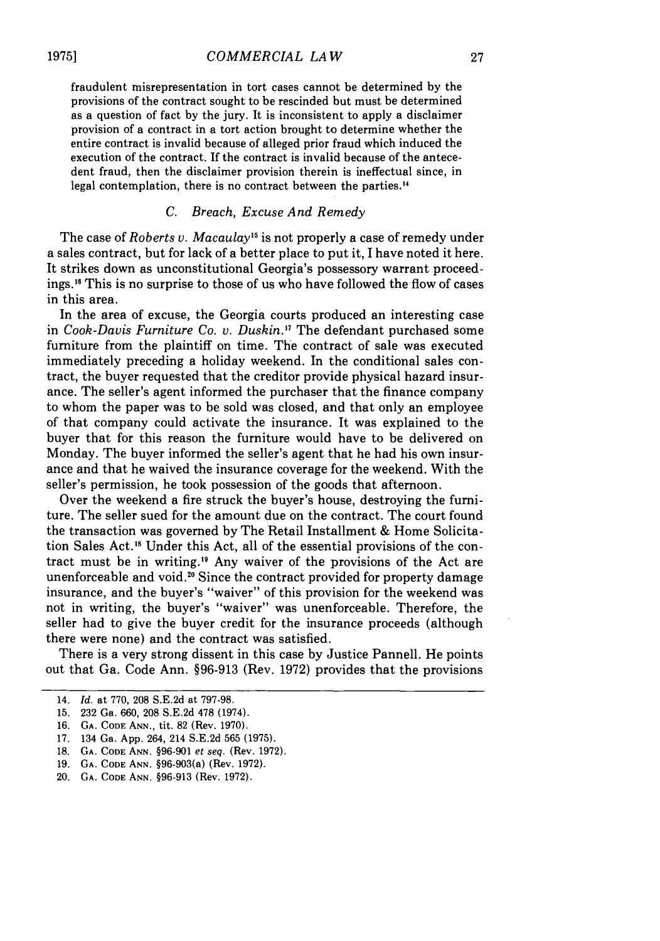fraudulent misrepresentation in tort cases cannot be determined by the provisions of the contract sought to be rescinded but must be determined as a question of fact by the jury. It is inconsistent to apply a disclaimer provision of a contract in a tort action brought to determine whether the entire contract is invalid because of alleged prior fraud which induced the execution of the contract. If the contract is invalid because of the antecedent fraud, then the disclaimer provision therein is ineffectual since, in legal contemplation, there is no contract between the parties.'<sup>4</sup>

# C. Breach, Excuse *And Remedy*

The case of *Roberts v. Macaulay*<sup>15</sup> is not properly a case of remedy under a sales contract, but for lack of a better place to put it, I have noted it here. It strikes down as unconstitutional Georgia's possessory warrant proceedings.<sup>16</sup> This is no surprise to those of us who have followed the flow of cases in this area.

In the area of excuse, the Georgia courts produced an interesting case in Cook-Davis *Furniture Co. v. Duskin.'7* The defendant purchased some furniture from the plaintiff on time. The contract of sale was executed immediately preceding a holiday weekend. In the conditional sales contract, the buyer requested that the creditor provide physical hazard insurance. The seller's agent informed the purchaser that the finance company to whom the paper was to be sold was closed, and that only an employee of that company could activate the insurance. It was explained to the buyer that for this reason the furniture would have to be delivered on Monday. The buyer informed the seller's agent that he had his own insurance and that he waived the insurance coverage for the weekend. With the seller's permission, he took possession of the goods that afternoon.

Over the weekend a fire struck the buyer's house, destroying the furniture. The seller sued for the amount due on the contract. The court found the transaction was governed by The Retail Installment & Home Solicitation Sales Act.'8 Under this Act, all of the essential provisions of the contract must be in writing.<sup>19</sup> Any waiver of the provisions of the Act are unenforceable and void.<sup>20</sup> Since the contract provided for property damage insurance, and the buyer's "waiver" of this provision for the weekend was not in writing, the buyer's "waiver" was unenforceable. Therefore, the seller had to give the buyer credit for the insurance proceeds (although there were none) and the contract was satisfied.

There is a very strong dissent in this case by Justice Pannell. He points out that Ga. Code Ann. §96-913 (Rev. 1972) provides that the provisions

16. **GA.** CODE ANN., tit. 82 (Rev. 1970).

18. GA. CODE ANN. §96-901 et seq. (Rev. 1972).

20. GA. CODE ANN. §96-913 (Rev. 1972).

<sup>14.</sup> *Id.* at 770, 208 S.E.2d at 797-98.

<sup>15.</sup> 232 Ga. 660, 208 S.E.2d 478 (1974).

<sup>17. 134</sup> Ga. App. 264, 214 S.E.2d 565 (1975).

<sup>19.</sup> GA. CODE ANN. §96-903(a) (Rev. 1972).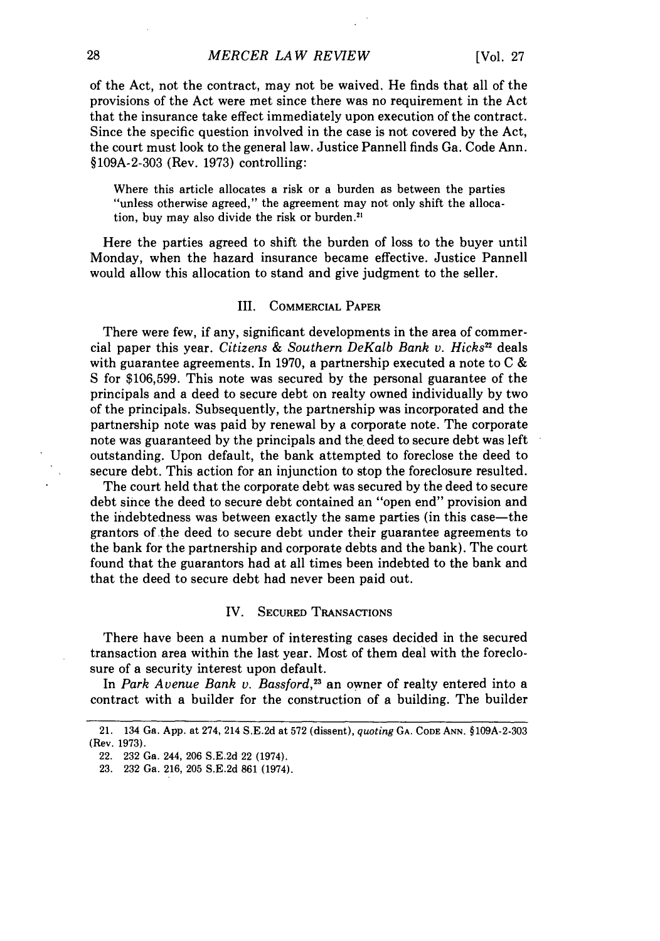of the Act, not the contract, may not be waived. He finds that all of the provisions of the Act were met since there was no requirement in the Act that the insurance take effect immediately upon execution of the contract. Since the specific question involved in the case is not covered by the Act, the court must look to the general law. Justice Pannell finds Ga. Code Ann. §109A-2-303 (Rev. 1973) controlling:

Where this article allocates a risk or a burden as between the parties "unless otherwise agreed," the agreement may not only shift the allocation, buy may also divide the risk or burden. $21$ 

Here the parties agreed to shift the burden of loss to the buyer until Monday, when the hazard insurance became effective. Justice Pannell would allow this allocation to stand and give judgment to the seller.

#### III. COMMERCIAL PAPER

There were few, if any, significant developments in the area of commercial paper this year. *Citizens & Southern DeKalb Bank v. Hicks*<sup>22</sup> deals with guarantee agreements. In 1970, a partnership executed a note to  $C \&$ S for **\$106,599.** This note was secured by the personal guarantee of the principals and a deed to secure debt on realty owned individually by two of the principals. Subsequently, the partnership was incorporated and the partnership note was paid by renewal by a corporate note. The corporate note was guaranteed by the principals and the deed to secure debt was left outstanding. Upon default, the bank attempted to foreclose the deed to secure debt. This action for an injunction to stop the foreclosure resulted.

The court held that the corporate debt was secured by the deed to secure debt since the deed to secure debt contained an "open end" provision and the indebtedness was between exactly the same parties (in this case-the grantors of the deed to secure debt under their guarantee agreements to the bank for the partnership and corporate debts and the bank). The court found that the guarantors had at all times been indebted to the bank and that the deed to secure debt had never been paid out.

#### IV. **SECURED** TRANSACTIONS

There have been a number of interesting cases decided in the secured transaction area within the last year. Most of them deal with the foreclosure of a security interest upon default.

In *Park Avenue Bank v. Bassford,23* an owner of realty entered into a contract with a builder for the construction of a building. The builder

<sup>21. 134</sup> Ga. App. at 274, 214 S.E.2d at 572 (dissent), *quoting* **GA.** CODE ANN. §109A-2-303 (Rev. 1973).

<sup>22. 232</sup> Ga. 244, 206 S.E.2d 22 (1974).

<sup>23. 232</sup> Ga. 216, 205 S.E.2d 861 (1974).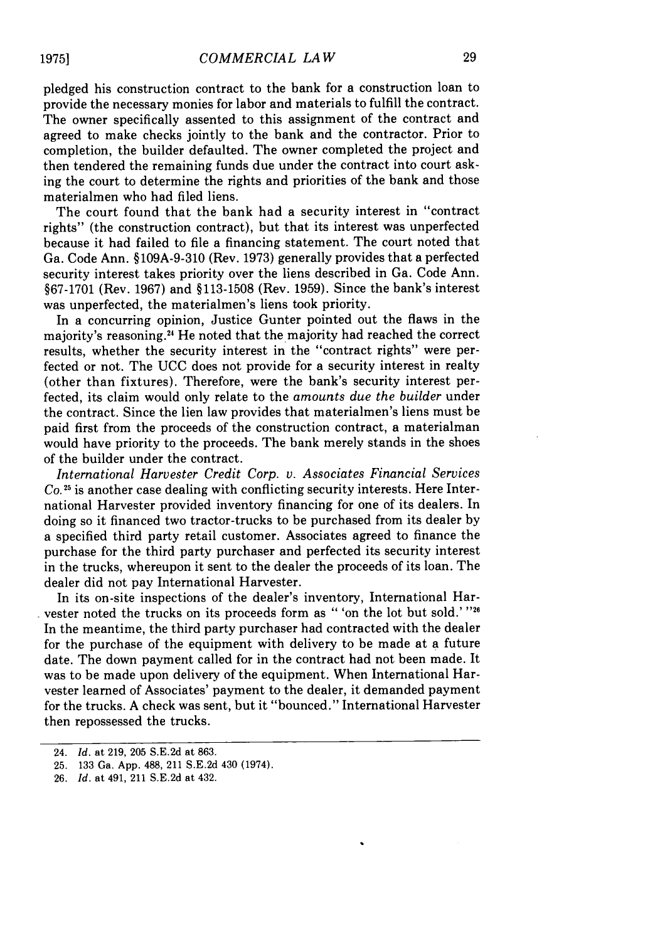pledged his construction contract to the bank for a construction loan to provide the necessary monies for labor and materials to fulfill the contract. The owner specifically assented to this assignment of the contract and agreed to make checks jointly to the bank and the contractor. Prior to completion, the builder defaulted. The owner completed the project and then tendered the remaining funds due under the contract into court asking the court to determine the rights and priorities of the bank and those materialmen who had filed liens.

The court found that the bank had a security interest in "contract rights" (the construction contract), but that its interest was unperfected because it had failed to file a financing statement. The court noted that Ga. Code Ann. §109A-9-310 (Rev. 1973) generally provides that a perfected security interest takes priority over the liens described in Ga. Code Ann. §67-1701 (Rev. 1967) and §113-1508 (Rev. 1959). Since the bank's interest was unperfected, the materialmen's liens took priority.

In a concurring opinion, Justice Gunter pointed out the flaws in the majority's reasoning.<sup>24</sup> He noted that the majority had reached the correct results, whether the security interest in the "contract rights" were perfected or not. The UCC does not provide for a security interest in realty (other than fixtures). Therefore, were the bank's security interest perfected, its claim would only relate to the *amounts due the builder* under the contract. Since the lien law provides that materialmen's liens must be paid first from the proceeds of the construction contract, a materialman would have priority to the proceeds. The bank merely stands in the shoes of the builder under the contract.

*International Harvester Credit Corp. v. Associates Financial Services Co."5* is another case dealing with conflicting security interests. Here International Harvester provided inventory financing for one of its dealers. In doing so it financed two tractor-trucks to be purchased from its dealer by a specified third party retail customer. Associates agreed to finance the purchase for the third party purchaser and perfected its security interest in the trucks, whereupon it sent to the dealer the proceeds of its loan. The dealer did not pay International Harvester.

In its on-site inspections of the dealer's inventory, International Harvester noted the trucks on its proceeds form as " 'on the lot but sold.' **"2'** In the meantime, the third party purchaser had contracted with the dealer for the purchase of the equipment with delivery to be made at a future date. The down payment called for in the contract had not been made. It was to be made upon delivery of the equipment. When International Harvester learned of Associates' payment to the dealer, it demanded payment for the trucks. A check was sent, but it "bounced." International Harvester then repossessed the trucks.

<sup>24.</sup> *Id.* at 219, 205 S.E.2d at 863.

<sup>25. 133</sup> Ga. App. 488, 211 S.E.2d 430 (1974).

<sup>26.</sup> *Id.* at 491, 211 S.E.2d at 432.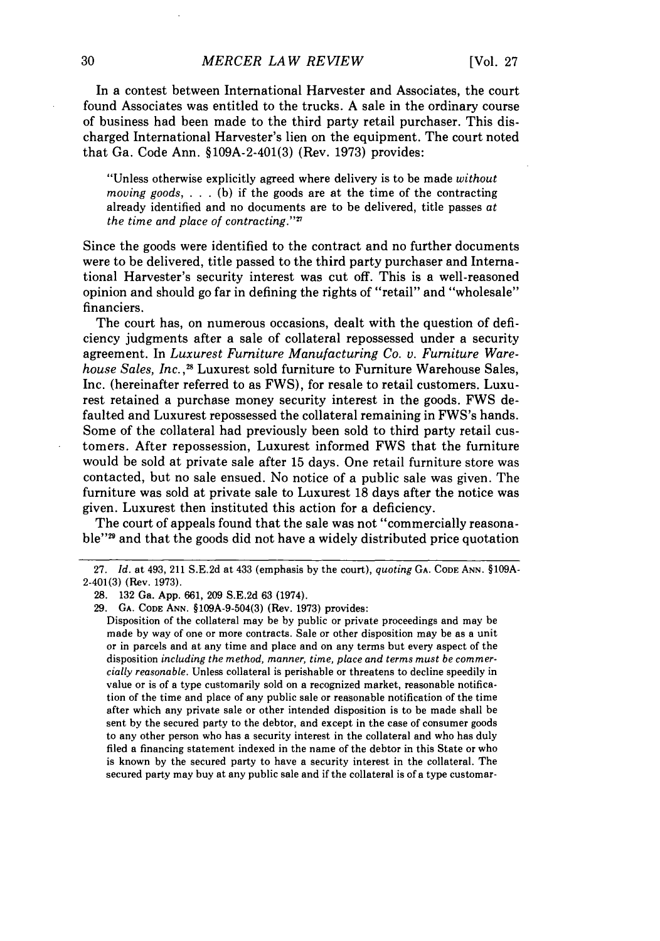In a contest between International Harvester and Associates, the court found Associates was entitled to the trucks. A sale in the ordinary course of business had been made to the third party retail purchaser. This discharged International Harvester's lien on the equipment. The court noted that Ga. Code Ann. §109A-2-401(3) (Rev. 1973) provides:

"Unless otherwise explicitly agreed where delivery is to be made *without moving goods,* . . (b) if the goods are at the time of the contracting already identified and no documents are to be delivered, title passes at *the time and place of contracting.""*

Since the goods were identified to the contract and no further documents were to be delivered, title passed to the third party purchaser and International Harvester's security interest was cut off. This is a well-reasoned opinion and should go far in defining the rights of "retail" and "wholesale" financiers.

The court has, on numerous occasions, dealt with the question of deficiency judgments after a sale of collateral repossessed under a security agreement. In *Luxurest Furniture Manufacturing Co. v. Furniture Warehouse Sales, Inc.*,<sup>28</sup> Luxurest sold furniture to Furniture Warehouse Sales, Inc. (hereinafter referred to as FWS), for resale to retail customers. Luxurest retained a purchase money security interest in the goods. FWS defaulted and Luxurest repossessed the collateral remaining in FWS's hands. Some of the collateral had previously been sold to third party retail customers. After repossession, Luxurest informed FWS that the furniture would be sold at private sale after 15 days. One retail furniture store was contacted, but no sale ensued. No notice of a public sale was given. The furniture was sold at private sale to Luxurest 18 days after the notice was given. Luxurest then instituted this action for a deficiency.

The court of appeals found that the sale was not "commercially reasonable"<sup>29</sup> and that the goods did not have a widely distributed price quotation

29. GA. **CODE ANN.** §109A-9-504(3) (Rev. 1973) provides:

Disposition of the collateral may be by public or private proceedings and may be made by way of one or more contracts. Sale or other disposition may be as a unit or in parcels and at any time and place and on any terms but every aspect of the disposition *including the method, manner, time, place and terms must be commercially reasonable.* Unless collateral is perishable or threatens to decline speedily in value or is of a type customarily sold on a recognized market, reasonable notification of the time and place of any public sale or reasonable notification of the time after which any private sale or other intended disposition is to be made shall be sent by the secured party to the debtor, and except in the case of consumer goods to any other person who has a security interest in the collateral and who has duly filed a financing statement indexed in the name of the debtor in this State or who is known by the secured party to have a security interest in the collateral. The secured party may buy at any public sale and if the collateral is of a type customar-

<sup>27.</sup> *Id.* at 493, 211 S.E.2d at 433 (emphasis by the court), *quoting* **GA. CODE** ANN. §109A-2-401(3) (Rev. 1973).

<sup>28. 132</sup> Ga. App. 661, 209 S.E.2d 63 (1974).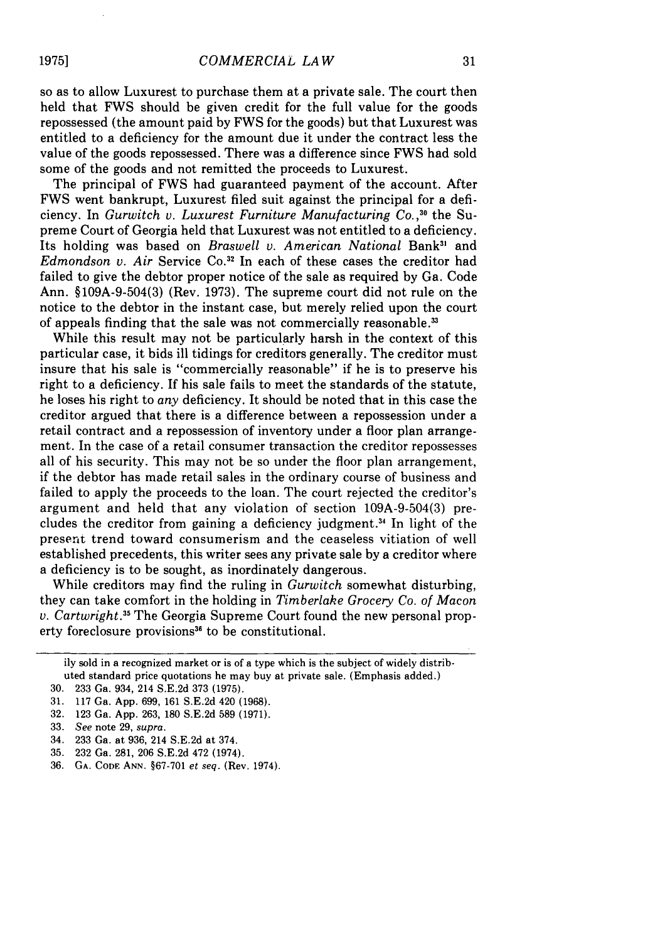so as to allow Luxurest to purchase them at a private sale. The court then held that FWS should be given credit for the full value for the goods repossessed (the amount paid by FWS for the goods) but that Luxurest was entitled to a deficiency for the amount due it under the contract less the value of the goods repossessed. There was a difference since FWS had sold some of the goods and not remitted the proceeds to Luxurest.

The principal of FWS had guaranteed payment of the account. After FWS went bankrupt, Luxurest filed suit against the principal for a deficiency. In *Gurwitch v. Luxurest Furniture Manufacturing Co.,"'* the Supreme Court of Georgia held that Luxurest was not entitled to a deficiency. Its holding was based on *Braswell v. American National* Bank3' and *Edmondson v. Air Service Co.*<sup>32</sup> In each of these cases the creditor had failed to give the debtor proper notice of the sale as required by Ga. Code Ann. §109A-9-504(3) (Rev. 1973). The supreme court did not rule on the notice to the debtor in the instant case, but merely relied upon the court of appeals finding that the sale was not commercially reasonable. **31**

While this result may not be particularly harsh in the context of this particular case, it bids ill tidings for creditors generally. The creditor must insure that his sale is "commercially reasonable" if he is to preserve his right to a deficiency. If his sale fails to meet the standards of the statute, he loses his right to *any* deficiency. It should be noted that in this case the creditor argued that there is a difference between a repossession under a retail contract and a repossession of inventory under a floor plan arrangement. In the case of a retail consumer transaction the creditor repossesses all of his security. This may not be so under the floor plan arrangement, if the debtor has made retail sales in the ordinary course of business and failed to apply the proceeds to the loan. The court rejected the creditor's argument and held that any violation of section 109A-9-504(3) precludes the creditor from gaining a deficiency judgment.<sup>34</sup> In light of the present trend toward consumerism and the ceaseless vitiation of well established precedents, this writer sees any private sale by a creditor where a deficiency is to be sought, as inordinately dangerous.

While creditors may find the ruling in *Gurwitch* somewhat disturbing, they can take comfort in the holding in *Timberlake Grocery Co. of Macon v. Cartwright.*<sup>35</sup> The Georgia Supreme Court found the new personal property foreclosure provisions<sup>36</sup> to be constitutional.

ily sold in a recognized market or is of a type which is the subject of widely distributed standard price quotations he may buy at private sale. (Emphasis added.)

<sup>30. 233</sup> Ga. 934, 214 S.E.2d 373 (1975).

<sup>31. 117</sup> Ga. App. 699, 161 S.E.2d 420 (1968).

<sup>32. 123</sup> Ga. App. 263, 180 S.E.2d 589 (1971).

<sup>33.</sup> *See* note 29, *supra.*

<sup>34. 233</sup> Ga. at 936, 214 S.E.2d at 374.

<sup>35. 232</sup> Ga. 281, 206 S.E.2d 472 (1974).

<sup>36.</sup> **GA. CODE ANN.** §67-701 *et seq.* (Rev. 1974).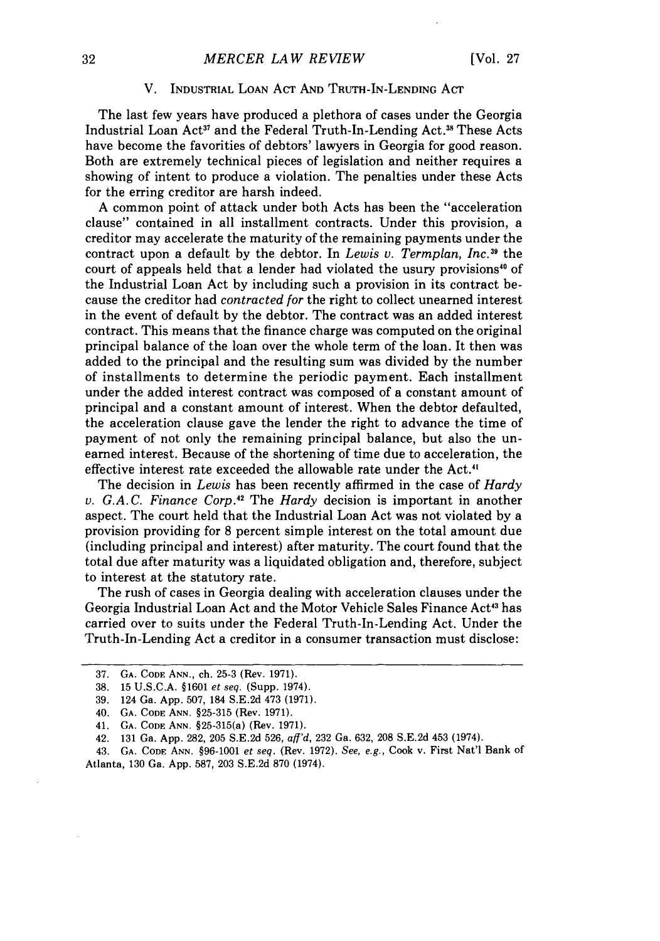#### V. **INDUSTRIAL LOAN ACT AND TRUTH-IN-LENDING ACT**

The last few years have produced a plethora of cases under the Georgia Industrial Loan Act<sup>37</sup> and the Federal Truth-In-Lending Act.<sup>38</sup> These Acts have become the favorities of debtors' lawyers in Georgia for good reason. Both are extremely technical pieces of legislation and neither requires a showing of intent to produce a violation. The penalties under these Acts for the erring creditor are harsh indeed.

**A** common point of attack under both Acts has been the "acceleration clause" contained in all installment contracts. Under this provision, a creditor may accelerate the maturity of the remaining payments under the contract upon a default by the debtor. In *Lewis v. Termplan, Inc.39* the court of appeals held that a lender had violated the usury provisions" of the Industrial Loan Act by including such a provision in its contract because the creditor had *contracted for* the right to collect unearned interest in the event of default by the debtor. The contract was an added interest contract. This means that the finance charge was computed on the original principal balance of the loan over the whole term of the loan. It then was added to the principal and the resulting sum was divided by the number of installments to determine the periodic payment. Each installment under the added interest contract was composed of a constant amount of principal and a constant amount of interest. When the debtor defaulted, the acceleration clause gave the lender the right to advance the time of payment of not only the remaining principal balance, but also the unearned interest. Because of the shortening of time due to acceleration, the effective interest rate exceeded the allowable rate under the Act.4'

The decision in *Lewis* has been recently affirmed in the case of *Hardy v. G.A.C. Finance Corp.*<sup>42</sup> The *Hardy* decision is important in another aspect. The court held that the Industrial Loan Act was not violated by a provision providing for 8 percent simple interest on the total amount due (including principal and interest) after maturity. The court found that the total due after maturity was a liquidated obligation and, therefore, subject to interest at the statutory rate.

The rush of cases in Georgia dealing with acceleration clauses under the Georgia Industrial Loan Act and the Motor Vehicle Sales Finance Act<sup>43</sup> has carried over to suits under the Federal Truth-In-Lending Act. Under the Truth-In-Lending Act a creditor in a consumer transaction must disclose:

43. GA. CODE ANN. §96-1001 et seq. (Rev. 1972). See, e.g., Cook v. First Nat'l Bank of Atlanta, 130 Ga. App. 587, 203 S.E.2d 870 (1974).

<sup>37.</sup> **GA. CODE ANN.,** ch. 25-3 (Rev. 1971).

<sup>38. 15</sup> U.S.C.A. §1601 et seq. (Supp. 1974).

<sup>39. 124</sup> Ga. App. 507, 184 S.E.2d 473 (1971).

<sup>40.</sup> **GA. CODE ANN.** §25-315 (Rev. 1971).

<sup>41.</sup> **GA. CODE ANN.** §25-315(a) (Rev. 1971).

<sup>42. 131</sup> Ga. App. 282, 205 S.E.2d 526, aff'd, 232 Ga. 632, 208 S.E.2d 453 (1974).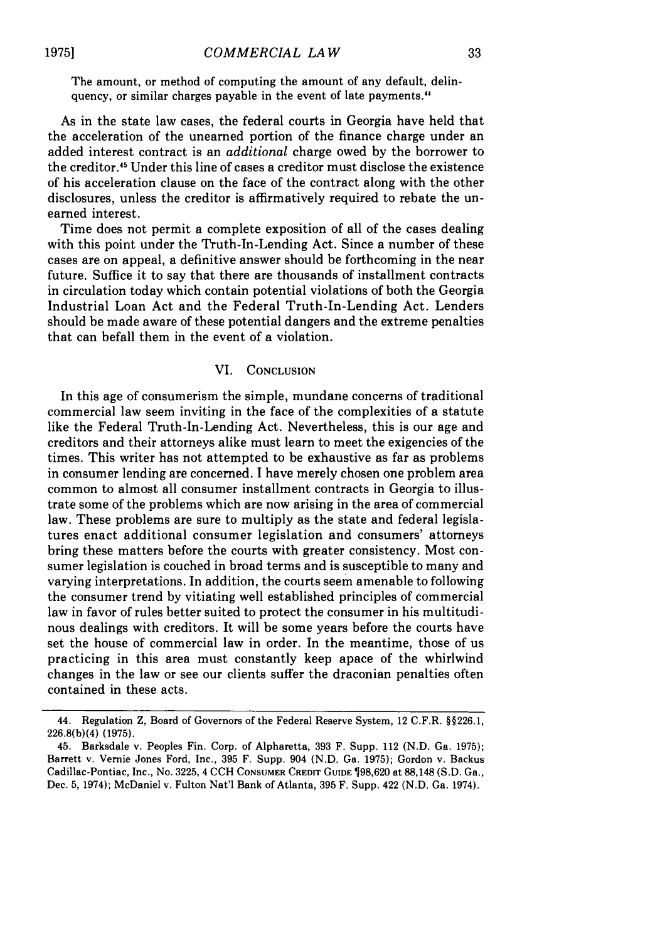The amount, or method of computing the amount of any default, delinquency, or similar charges payable in the event of late payments.<sup>44</sup>

As in the state law cases, the federal courts in Georgia have held that the acceleration of the unearned portion of the finance charge under an added interest contract is an *additional* charge owed by the borrower to the creditor.<sup>45</sup> Under this line of cases a creditor must disclose the existence of his acceleration clause on the face of the contract along with the other disclosures, unless the creditor is affirmatively required to rebate the unearned interest.

Time does not permit a complete exposition of all of the cases dealing with this point under the Truth-In-Lending Act. Since a number of these cases are on appeal, a definitive answer should be forthcoming in the near future. Suffice it to say that there are thousands of installment contracts in circulation today which contain potential violations of both the Georgia Industrial Loan Act and the Federal Truth-In-Lending Act. Lenders should be made aware of these potential dangers and the extreme penalties that can befall them in the event of a violation.

### VI. CONCLUSION

In this age of consumerism the simple, mundane concerns of traditional commercial law seem inviting in the face of the complexities of a statute like the Federal Truth-In-Lending Act. Nevertheless, this is our age and creditors and their attorneys alike must learn to meet the exigencies of the times. This writer has not attempted to be exhaustive as far as problems in consumer lending are concerned. I have merely chosen one problem area common to almost all consumer installment contracts in Georgia to illustrate some of the problems which are now arising in the area of commercial law. These problems are sure to multiply as the state and federal legislatures enact additional consumer legislation and consumers' attorneys bring these matters before the courts with greater consistency. Most consumer legislation is couched in broad terms and is susceptible to many and varying interpretations. In addition, the courts seem amenable to following the consumer trend by vitiating well established principles of commercial law in favor of rules better suited to protect the consumer in his multitudinous dealings with creditors. It will be some years before the courts have set the house of commercial law in order. In the meantime, those of us practicing in this area must constantly keep apace of the whirlwind changes in the law or see our clients suffer the draconian penalties often contained in these acts.

<sup>44.</sup> Regulation Z, Board of Governors of the Federal Reserve System, 12 C.F.R. §§226.1, 226.8(b)(4) (1975).

<sup>45.</sup> Barksdale v. Peoples Fin. Corp. of Alpharetta, 393 F. Supp. 112 (N.D. Ga. 1975); Barrett v. Vernie Jones Ford, Inc., 395 F. Supp. 904 (N.D. Ga. 1975); Gordon v. Backus Cadillac-Pontiac, Inc., No. 3225, 4 CCH CONSUMER CREDrr GUIDE 98,620 at 88,148 (S.D. Ga., Dec. 5, 1974); McDaniel v. Fulton Nat'l Bank of Atlanta, 395 F. Supp. 422 (N.D. Ga. 1974).